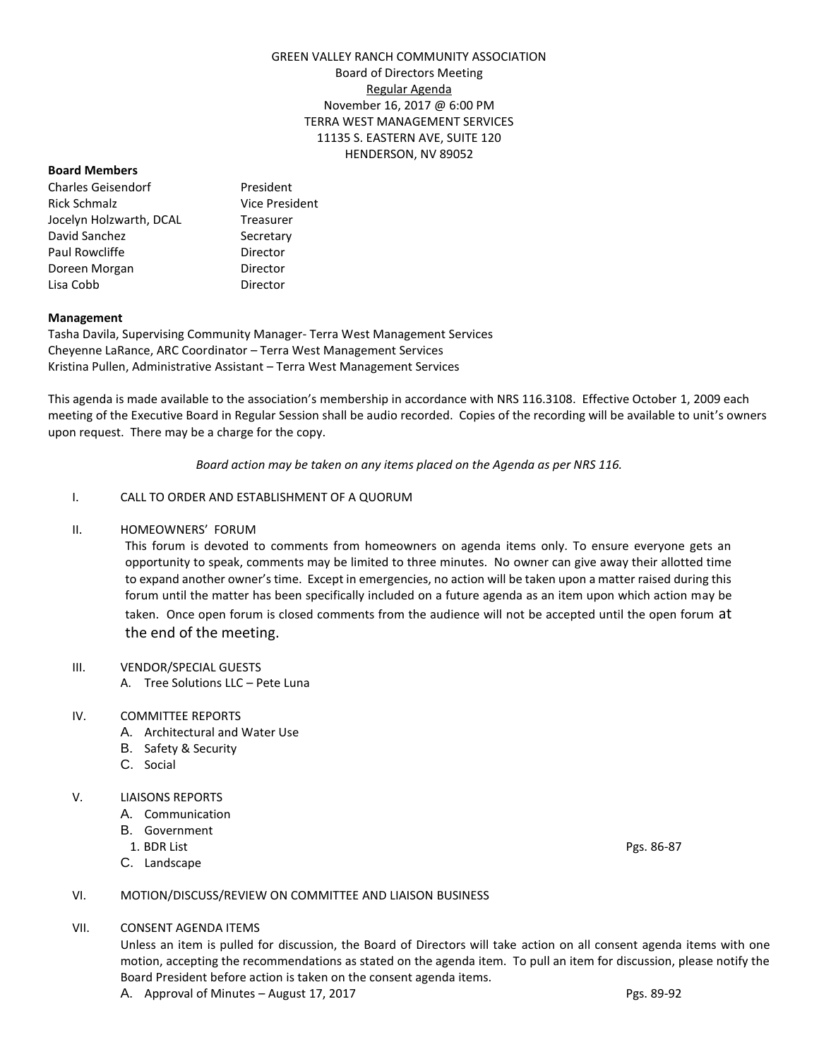# GREEN VALLEY RANCH COMMUNITY ASSOCIATION Board of Directors Meeting Regular Agenda November 16, 2017 @ 6:00 PM TERRA WEST MANAGEMENT SERVICES 11135 S. EASTERN AVE, SUITE 120 HENDERSON, NV 89052

### **Board Members**

Charles Geisendorf President Rick Schmalz Vice President Jocelyn Holzwarth, DCAL Treasurer David Sanchez Secretary Paul Rowcliffe **Director** Doreen Morgan **Director** Lisa Cobb Director

## **Management**

Tasha Davila, Supervising Community Manager- Terra West Management Services Cheyenne LaRance, ARC Coordinator – Terra West Management Services Kristina Pullen, Administrative Assistant – Terra West Management Services

This agenda is made available to the association's membership in accordance with NRS 116.3108. Effective October 1, 2009 each meeting of the Executive Board in Regular Session shall be audio recorded. Copies of the recording will be available to unit's owners upon request. There may be a charge for the copy.

*Board action may be taken on any items placed on the Agenda as per NRS 116.*

## I. CALL TO ORDER AND ESTABLISHMENT OF A QUORUM

II. HOMEOWNERS' FORUM

This forum is devoted to comments from homeowners on agenda items only. To ensure everyone gets an opportunity to speak, comments may be limited to three minutes. No owner can give away their allotted time to expand another owner's time. Except in emergencies, no action will be taken upon a matter raised during this forum until the matter has been specifically included on a future agenda as an item upon which action may be taken. Once open forum is closed comments from the audience will not be accepted until the open forum at the end of the meeting.

### III. VENDOR/SPECIAL GUESTS

A. Tree Solutions LLC – Pete Luna

## IV. COMMITTEE REPORTS

- A. Architectural and Water Use
- B. Safety & Security
- C. Social

### V. LIAISONS REPORTS

- A. Communication
- B. Government
- 
- C. Landscape

1. BDR List Pgs. 86-87

### VI. MOTION/DISCUSS/REVIEW ON COMMITTEE AND LIAISON BUSINESS

VII. CONSENT AGENDA ITEMS

Unless an item is pulled for discussion, the Board of Directors will take action on all consent agenda items with one motion, accepting the recommendations as stated on the agenda item. To pull an item for discussion, please notify the Board President before action is taken on the consent agenda items.

A. Approval of Minutes - August 17, 2017 Case Control of Minutes August 17, 2017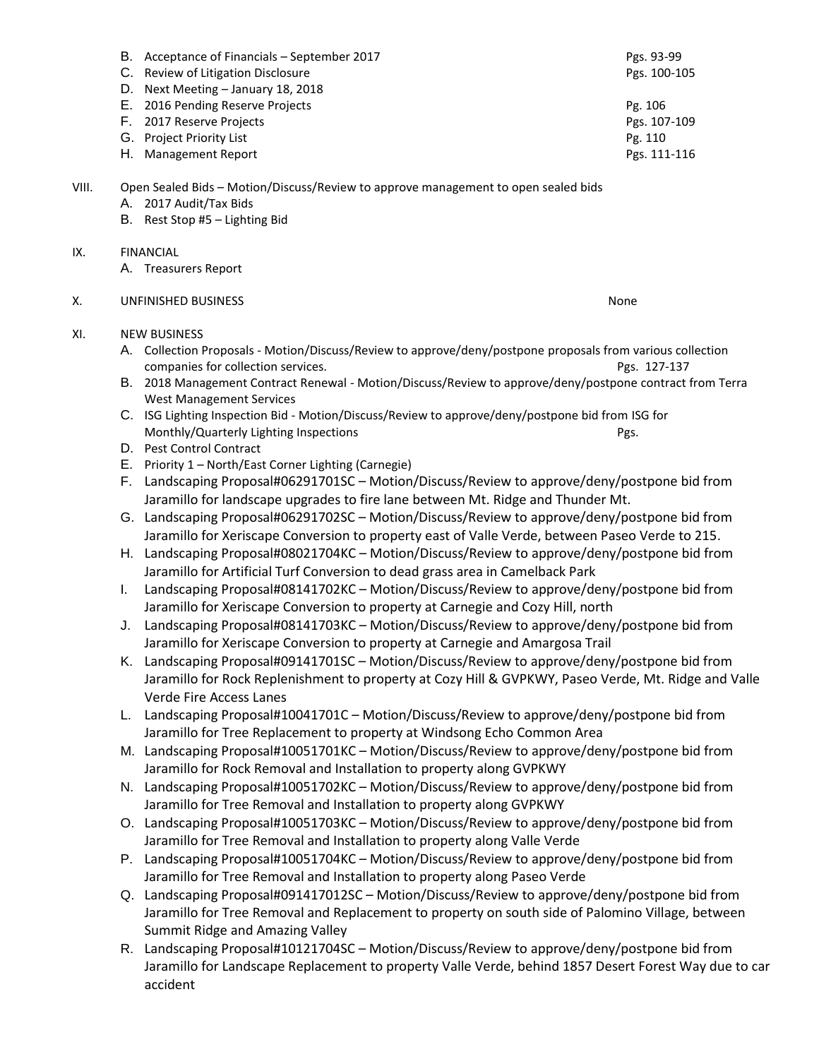|       |                                                                                                      | B. Acceptance of Financials - September 2017                                                                                                                                                    | Pgs. 93-99   |  |
|-------|------------------------------------------------------------------------------------------------------|-------------------------------------------------------------------------------------------------------------------------------------------------------------------------------------------------|--------------|--|
|       |                                                                                                      | C. Review of Litigation Disclosure                                                                                                                                                              | Pgs. 100-105 |  |
|       | D.                                                                                                   | Next Meeting - January 18, 2018                                                                                                                                                                 |              |  |
|       | Е.                                                                                                   | 2016 Pending Reserve Projects                                                                                                                                                                   | Pg. 106      |  |
|       |                                                                                                      | F. 2017 Reserve Projects                                                                                                                                                                        | Pgs. 107-109 |  |
|       |                                                                                                      | G. Project Priority List                                                                                                                                                                        | Pg. 110      |  |
|       |                                                                                                      | H. Management Report                                                                                                                                                                            | Pgs. 111-116 |  |
| VIII. |                                                                                                      | Open Sealed Bids - Motion/Discuss/Review to approve management to open sealed bids                                                                                                              |              |  |
|       |                                                                                                      | A. 2017 Audit/Tax Bids<br>B. Rest Stop #5 - Lighting Bid                                                                                                                                        |              |  |
|       |                                                                                                      |                                                                                                                                                                                                 |              |  |
| IX.   |                                                                                                      | <b>FINANCIAL</b><br>A. Treasurers Report                                                                                                                                                        |              |  |
| Х.    |                                                                                                      | <b>UNFINISHED BUSINESS</b>                                                                                                                                                                      | None         |  |
|       |                                                                                                      |                                                                                                                                                                                                 |              |  |
| XI.   |                                                                                                      | <b>NEW BUSINESS</b><br>A. Collection Proposals - Motion/Discuss/Review to approve/deny/postpone proposals from various collection                                                               |              |  |
|       |                                                                                                      |                                                                                                                                                                                                 |              |  |
|       |                                                                                                      | companies for collection services.<br>B. 2018 Management Contract Renewal - Motion/Discuss/Review to approve/deny/postpone contract from Terra                                                  | Pgs. 127-137 |  |
|       |                                                                                                      | <b>West Management Services</b>                                                                                                                                                                 |              |  |
|       |                                                                                                      | C. ISG Lighting Inspection Bid - Motion/Discuss/Review to approve/deny/postpone bid from ISG for                                                                                                |              |  |
|       |                                                                                                      | Monthly/Quarterly Lighting Inspections                                                                                                                                                          | Pgs.         |  |
|       |                                                                                                      | D. Pest Control Contract                                                                                                                                                                        |              |  |
|       |                                                                                                      | E. Priority 1 - North/East Corner Lighting (Carnegie)                                                                                                                                           |              |  |
|       |                                                                                                      | F. Landscaping Proposal#06291701SC - Motion/Discuss/Review to approve/deny/postpone bid from<br>Jaramillo for landscape upgrades to fire lane between Mt. Ridge and Thunder Mt.                 |              |  |
|       |                                                                                                      |                                                                                                                                                                                                 |              |  |
|       |                                                                                                      | G. Landscaping Proposal#06291702SC - Motion/Discuss/Review to approve/deny/postpone bid from<br>Jaramillo for Xeriscape Conversion to property east of Valle Verde, between Paseo Verde to 215. |              |  |
|       |                                                                                                      |                                                                                                                                                                                                 |              |  |
|       |                                                                                                      | H. Landscaping Proposal#08021704KC - Motion/Discuss/Review to approve/deny/postpone bid from                                                                                                    |              |  |
|       |                                                                                                      | Jaramillo for Artificial Turf Conversion to dead grass area in Camelback Park                                                                                                                   |              |  |
|       | Ι.                                                                                                   | Landscaping Proposal#08141702KC - Motion/Discuss/Review to approve/deny/postpone bid from                                                                                                       |              |  |
|       |                                                                                                      | Jaramillo for Xeriscape Conversion to property at Carnegie and Cozy Hill, north                                                                                                                 |              |  |
|       | J.                                                                                                   | Landscaping Proposal#08141703KC - Motion/Discuss/Review to approve/deny/postpone bid from                                                                                                       |              |  |
|       |                                                                                                      | Jaramillo for Xeriscape Conversion to property at Carnegie and Amargosa Trail                                                                                                                   |              |  |
|       |                                                                                                      | K. Landscaping Proposal#09141701SC - Motion/Discuss/Review to approve/deny/postpone bid from                                                                                                    |              |  |
|       | Jaramillo for Rock Replenishment to property at Cozy Hill & GVPKWY, Paseo Verde, Mt. Ridge and Valle |                                                                                                                                                                                                 |              |  |
|       |                                                                                                      | Verde Fire Access Lanes                                                                                                                                                                         |              |  |
|       | L.                                                                                                   | Landscaping Proposal#10041701C - Motion/Discuss/Review to approve/deny/postpone bid from                                                                                                        |              |  |
|       |                                                                                                      | Jaramillo for Tree Replacement to property at Windsong Echo Common Area                                                                                                                         |              |  |
|       |                                                                                                      | M. Landscaping Proposal#10051701KC - Motion/Discuss/Review to approve/deny/postpone bid from                                                                                                    |              |  |
|       |                                                                                                      | Jaramillo for Rock Removal and Installation to property along GVPKWY                                                                                                                            |              |  |
|       |                                                                                                      | N. Landscaping Proposal#10051702KC - Motion/Discuss/Review to approve/deny/postpone bid from                                                                                                    |              |  |
|       |                                                                                                      | Jaramillo for Tree Removal and Installation to property along GVPKWY                                                                                                                            |              |  |
|       |                                                                                                      | O. Landscaping Proposal#10051703KC - Motion/Discuss/Review to approve/deny/postpone bid from                                                                                                    |              |  |
|       |                                                                                                      | Jaramillo for Tree Removal and Installation to property along Valle Verde                                                                                                                       |              |  |
|       |                                                                                                      | P. Landscaping Proposal#10051704KC - Motion/Discuss/Review to approve/deny/postpone bid from                                                                                                    |              |  |
|       |                                                                                                      | Jaramillo for Tree Removal and Installation to property along Paseo Verde                                                                                                                       |              |  |
|       |                                                                                                      | Q. Landscaping Proposal#091417012SC - Motion/Discuss/Review to approve/deny/postpone bid from                                                                                                   |              |  |
|       |                                                                                                      | Jaramillo for Tree Removal and Replacement to property on south side of Palomino Village, between                                                                                               |              |  |
|       |                                                                                                      | Summit Ridge and Amazing Valley                                                                                                                                                                 |              |  |
|       |                                                                                                      | R. Landscaping Proposal#10121704SC - Motion/Discuss/Review to approve/deny/postpone bid from                                                                                                    |              |  |
|       |                                                                                                      |                                                                                                                                                                                                 |              |  |

Jaramillo for Landscape Replacement to property Valle Verde, behind 1857 Desert Forest Way due to car accident